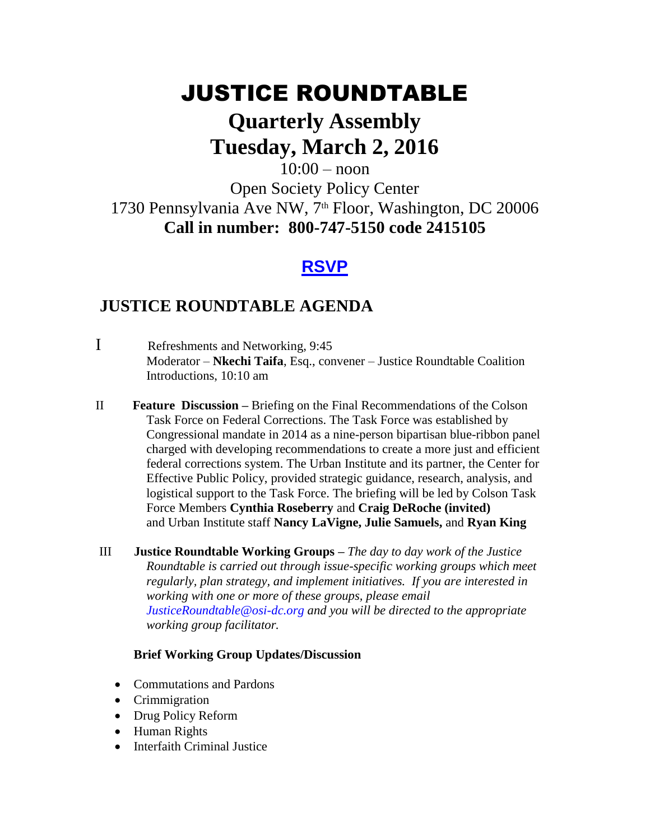# JUSTICE ROUNDTABLE

# **Quarterly Assembly Tuesday, March 2, 2016**

### $10:00 -$  noon Open Society Policy Center 1730 Pennsylvania Ave NW, 7<sup>th</sup> Floor, Washington, DC 20006 **Call in number: 800-747-5150 code 2415105**

## **[RSVP](mailto:jasmine.mickens@opensocietyfoundations.org?subject=Justice%20Roundtable%20Assembly%20March%202,%202016)**

## **JUSTICE ROUNDTABLE AGENDA**

- I Refreshments and Networking, 9:45 Moderator – **Nkechi Taifa**, Esq., convener – Justice Roundtable Coalition Introductions, 10:10 am
- II **Feature Discussion –** Briefing on the Final Recommendations of the Colson Task Force on Federal Corrections. The Task Force was established by Congressional mandate in 2014 as a nine-person bipartisan blue-ribbon panel charged with developing recommendations to create a more just and efficient federal corrections system. The Urban Institute and its partner, the Center for Effective Public Policy, provided strategic guidance, research, analysis, and logistical support to the Task Force. The briefing will be led by Colson Task Force Members **Cynthia Roseberry** and **Craig DeRoche (invited)** and Urban Institute staff **Nancy LaVigne, Julie Samuels,** and **Ryan King**
- III **Justice Roundtable Working Groups –** *The day to day work of the Justice Roundtable is carried out through issue-specific working groups which meet regularly, plan strategy, and implement initiatives. If you are interested in working with one or more of these groups, please email [JusticeRoundtable@osi-dc.org](mailto:JusticeRoundtable@osi-dc.org) and you will be directed to the appropriate working group facilitator.*

#### **Brief Working Group Updates/Discussion**

- Commutations and Pardons
- Crimmigration
- Drug Policy Reform
- Human Rights
- Interfaith Criminal Justice